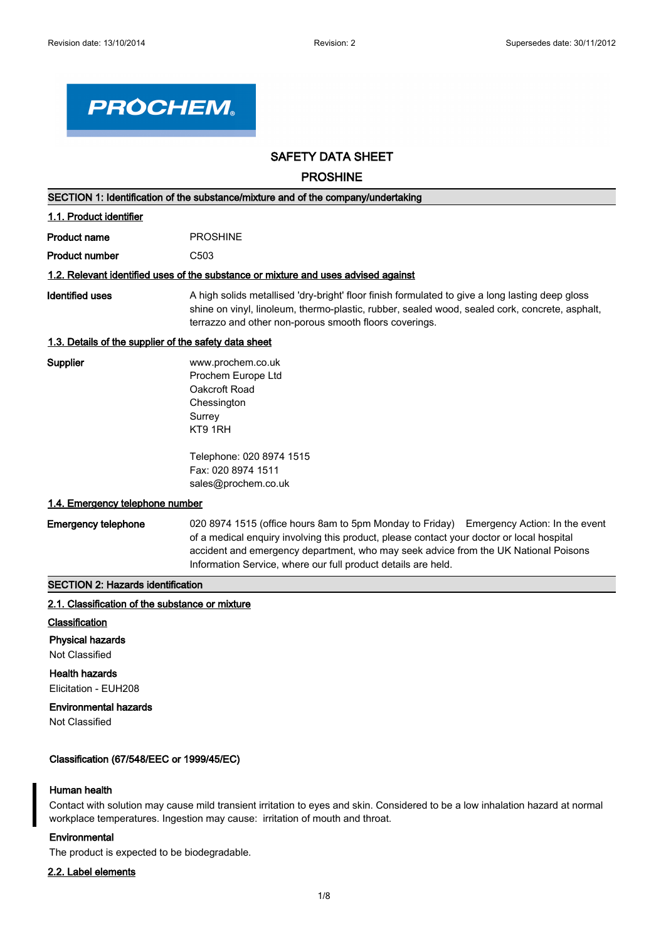

# **SAFETY DATA SHEET**

**PROSHINE**

| SECTION 1: Identification of the substance/mixture and of the company/undertaking |                                                                                                                                                                                                                                                                             |  |  |  |
|-----------------------------------------------------------------------------------|-----------------------------------------------------------------------------------------------------------------------------------------------------------------------------------------------------------------------------------------------------------------------------|--|--|--|
| 1.1. Product identifier                                                           |                                                                                                                                                                                                                                                                             |  |  |  |
| <b>Product name</b>                                                               | <b>PROSHINE</b>                                                                                                                                                                                                                                                             |  |  |  |
| Product number                                                                    | C <sub>503</sub>                                                                                                                                                                                                                                                            |  |  |  |
|                                                                                   | 1.2. Relevant identified uses of the substance or mixture and uses advised against                                                                                                                                                                                          |  |  |  |
| Identified uses                                                                   | A high solids metallised 'dry-bright' floor finish formulated to give a long lasting deep gloss<br>shine on vinyl, linoleum, thermo-plastic, rubber, sealed wood, sealed cork, concrete, asphalt,<br>terrazzo and other non-porous smooth floors coverings.                 |  |  |  |
| 1.3. Details of the supplier of the safety data sheet                             |                                                                                                                                                                                                                                                                             |  |  |  |
| Supplier                                                                          | www.prochem.co.uk<br>Prochem Europe Ltd<br>Oakcroft Road<br>Chessington<br>Surrey<br>KT9 1RH                                                                                                                                                                                |  |  |  |
|                                                                                   | Telephone: 020 8974 1515<br>Fax: 020 8974 1511<br>sales@prochem.co.uk                                                                                                                                                                                                       |  |  |  |
| 1.4. Emergency telephone number                                                   |                                                                                                                                                                                                                                                                             |  |  |  |
| <b>Emergency telephone</b>                                                        | 020 8974 1515 (office hours 8am to 5pm Monday to Friday) Emergency Action: In the event<br>of a medical enquiry involving this product, please contact your doctor or local hospital<br>accident and emergency department, who may seek advice from the UK National Poisons |  |  |  |

Information Service, where our full product details are held.

# **SECTION 2: Hazards identification**

# **2.1. Classification of the substance or mixture**

### **Classification**

#### **Physical hazards**

Not Classified

# **Health hazards**

Elicitation - EUH208

# **Environmental hazards**

Not Classified

# **Classification (67/548/EEC or 1999/45/EC)**

# **Human health**

Contact with solution may cause mild transient irritation to eyes and skin. Considered to be a low inhalation hazard at normal workplace temperatures. Ingestion may cause: irritation of mouth and throat.

# **Environmental**

The product is expected to be biodegradable.

### **2.2. Label elements**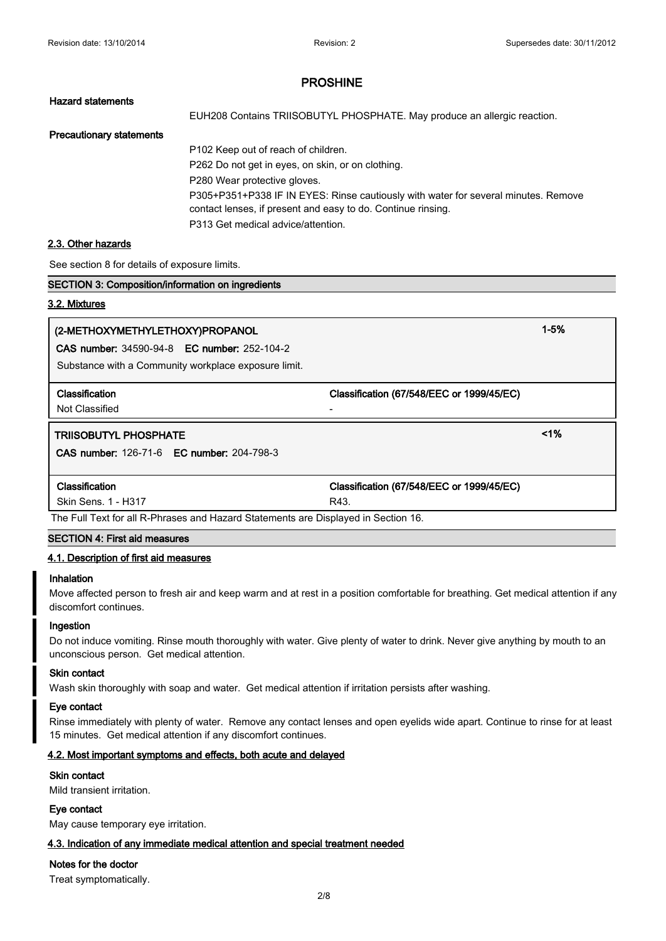# **Hazard statements**

EUH208 Contains TRIISOBUTYL PHOSPHATE. May produce an allergic reaction.

### **Precautionary statements**

P102 Keep out of reach of children. P262 Do not get in eyes, on skin, or on clothing. P280 Wear protective gloves. P305+P351+P338 IF IN EYES: Rinse cautiously with water for several minutes. Remove contact lenses, if present and easy to do. Continue rinsing. P313 Get medical advice/attention.

### **2.3. Other hazards**

See section 8 for details of exposure limits.

| See section 8 for details of exposure limits.                                      |                                           |          |
|------------------------------------------------------------------------------------|-------------------------------------------|----------|
| <b>SECTION 3: Composition/information on ingredients</b>                           |                                           |          |
| 3.2. Mixtures                                                                      |                                           |          |
| (2-METHOXYMETHYLETHOXY)PROPANOL                                                    |                                           | $1 - 5%$ |
| <b>CAS number: 34590-94-8 EC number: 252-104-2</b>                                 |                                           |          |
| Substance with a Community workplace exposure limit.                               |                                           |          |
| <b>Classification</b>                                                              | Classification (67/548/EEC or 1999/45/EC) |          |
| Not Classified                                                                     |                                           |          |
| <b>TRIISOBUTYL PHOSPHATE</b>                                                       |                                           | 1%       |
| <b>CAS number: 126-71-6 EC number: 204-798-3</b>                                   |                                           |          |
|                                                                                    |                                           |          |
| Classification                                                                     | Classification (67/548/EEC or 1999/45/EC) |          |
| Skin Sens. 1 - H317                                                                | R43.                                      |          |
| The Full Text for all R-Phrases and Hazard Statements are Displayed in Section 16. |                                           |          |

# **SECTION 4: First aid measures**

#### **4.1. Description of first aid measures**

#### **Inhalation**

Move affected person to fresh air and keep warm and at rest in a position comfortable for breathing. Get medical attention if any discomfort continues.

#### **Ingestion**

Do not induce vomiting. Rinse mouth thoroughly with water. Give plenty of water to drink. Never give anything by mouth to an unconscious person. Get medical attention.

#### **Skin contact**

Wash skin thoroughly with soap and water. Get medical attention if irritation persists after washing.

#### **Eye contact**

Rinse immediately with plenty of water. Remove any contact lenses and open eyelids wide apart. Continue to rinse for at least 15 minutes. Get medical attention if any discomfort continues.

### **4.2. Most important symptoms and effects, both acute and delayed**

#### **Skin contact**

Mild transient irritation.

#### **Eye contact**

May cause temporary eye irritation.

#### **4.3. Indication of any immediate medical attention and special treatment needed**

# **Notes for the doctor**

Treat symptomatically.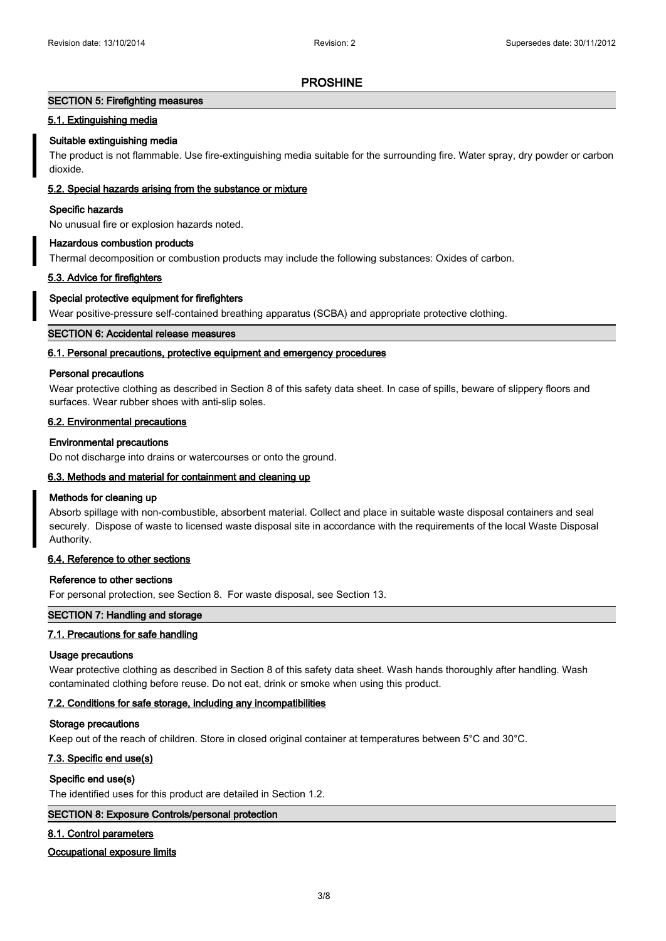#### **SECTION 5: Firefighting measures**

#### **5.1. Extinguishing media**

#### **Suitable extinguishing media**

The product is not flammable. Use fire-extinguishing media suitable for the surrounding fire. Water spray, dry powder or carbon dioxide.

### **5.2. Special hazards arising from the substance or mixture**

#### **Specific hazards**

No unusual fire or explosion hazards noted.

#### **Hazardous combustion products**

Thermal decomposition or combustion products may include the following substances: Oxides of carbon.

#### **5.3. Advice for firefighters**

# **Special protective equipment for firefighters**

Wear positive-pressure self-contained breathing apparatus (SCBA) and appropriate protective clothing.

### **SECTION 6: Accidental release measures**

#### **6.1. Personal precautions, protective equipment and emergency procedures**

#### **Personal precautions**

Wear protective clothing as described in Section 8 of this safety data sheet. In case of spills, beware of slippery floors and surfaces. Wear rubber shoes with anti-slip soles.

#### **6.2. Environmental precautions**

#### **Environmental precautions**

Do not discharge into drains or watercourses or onto the ground.

#### **6.3. Methods and material for containment and cleaning up**

#### **Methods for cleaning up**

Absorb spillage with non-combustible, absorbent material. Collect and place in suitable waste disposal containers and seal securely. Dispose of waste to licensed waste disposal site in accordance with the requirements of the local Waste Disposal Authority.

#### **6.4. Reference to other sections**

#### **Reference to other sections**

For personal protection, see Section 8. For waste disposal, see Section 13.

#### **SECTION 7: Handling and storage**

# **7.1. Precautions for safe handling**

#### **Usage precautions**

Wear protective clothing as described in Section 8 of this safety data sheet. Wash hands thoroughly after handling. Wash contaminated clothing before reuse. Do not eat, drink or smoke when using this product.

#### **7.2. Conditions for safe storage, including any incompatibilities**

#### **Storage precautions**

Keep out of the reach of children. Store in closed original container at temperatures between 5°C and 30°C.

### **7.3. Specific end use(s)**

#### **Specific end use(s)**

The identified uses for this product are detailed in Section 1.2.

#### **SECTION 8: Exposure Controls/personal protection**

#### **8.1. Control parameters**

### **Occupational exposure limits**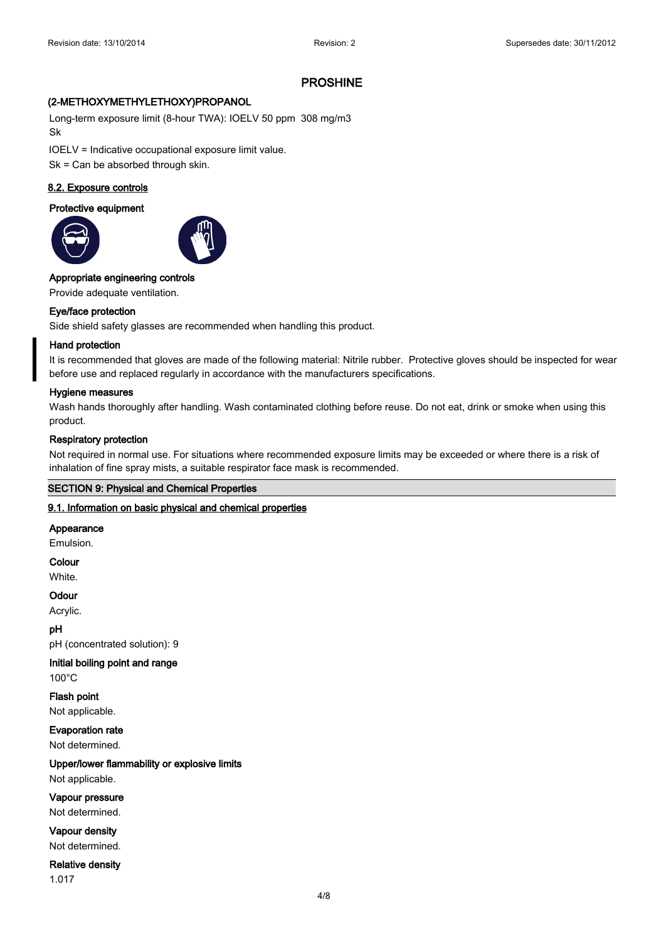# **(2-METHOXYMETHYLETHOXY)PROPANOL**

Long-term exposure limit (8-hour TWA): IOELV 50 ppm 308 mg/m3 Sk

IOELV = Indicative occupational exposure limit value.

Sk = Can be absorbed through skin.

# **8.2. Exposure controls**

# **Protective equipment**





# **Appropriate engineering controls**

Provide adequate ventilation.

# **Eye/face protection**

Side shield safety glasses are recommended when handling this product.

# **Hand protection**

It is recommended that gloves are made of the following material: Nitrile rubber. Protective gloves should be inspected for wear before use and replaced regularly in accordance with the manufacturers specifications.

# **Hygiene measures**

Wash hands thoroughly after handling. Wash contaminated clothing before reuse. Do not eat, drink or smoke when using this product.

# **Respiratory protection**

Not required in normal use. For situations where recommended exposure limits may be exceeded or where there is a risk of inhalation of fine spray mists, a suitable respirator face mask is recommended.

# **SECTION 9: Physical and Chemical Properties**

# **9.1. Information on basic physical and chemical properties**

# **Appearance**

Emulsion.

# **Colour**

White.

# **Odour**

Acrylic.

# **pH**

pH (concentrated solution): 9

# **Initial boiling point and range**

100°C

**Flash point** Not applicable.

# **Evaporation rate**

Not determined.

# **Upper/lower flammability or explosive limits**

Not applicable.

**Vapour pressure**

Not determined.

# **Vapour density**

Not determined.

#### **Relative density**

1.017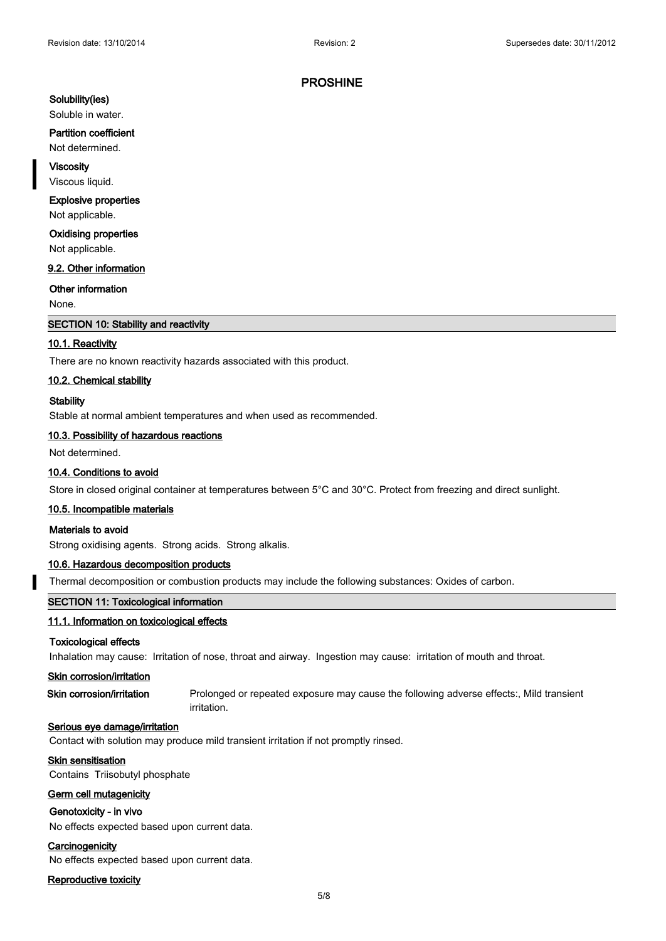#### **Solubility(ies)**

Soluble in water.

#### **Partition coefficient**

Not determined.

#### **Viscosity**

Viscous liquid.

# **Explosive properties**

Not applicable.

**Oxidising properties**

Not applicable.

# **9.2. Other information**

### **Other information**

None.

### **SECTION 10: Stability and reactivity**

#### **10.1. Reactivity**

There are no known reactivity hazards associated with this product.

# **10.2. Chemical stability**

#### **Stability**

Stable at normal ambient temperatures and when used as recommended.

#### **10.3. Possibility of hazardous reactions**

Not determined.

# **10.4. Conditions to avoid**

Store in closed original container at temperatures between 5°C and 30°C. Protect from freezing and direct sunlight.

#### **10.5. Incompatible materials**

#### **Materials to avoid**

Strong oxidising agents. Strong acids. Strong alkalis.

#### **10.6. Hazardous decomposition products**

Thermal decomposition or combustion products may include the following substances: Oxides of carbon.

#### **SECTION 11: Toxicological information**

#### **11.1. Information on toxicological effects**

#### **Toxicological effects**

Inhalation may cause: Irritation of nose, throat and airway. Ingestion may cause: irritation of mouth and throat.

#### **Skin corrosion/irritation**

**Skin corrosion/irritation** Prolonged or repeated exposure may cause the following adverse effects:, Mild transient irritation.

#### **Serious eye damage/irritation**

Contact with solution may produce mild transient irritation if not promptly rinsed.

# **Skin sensitisation**

Contains Triisobutyl phosphate

### **Germ cell mutagenicity**

### **Genotoxicity - in vivo**

No effects expected based upon current data.

#### **Carcinogenicity**

No effects expected based upon current data.

### **Reproductive toxicity**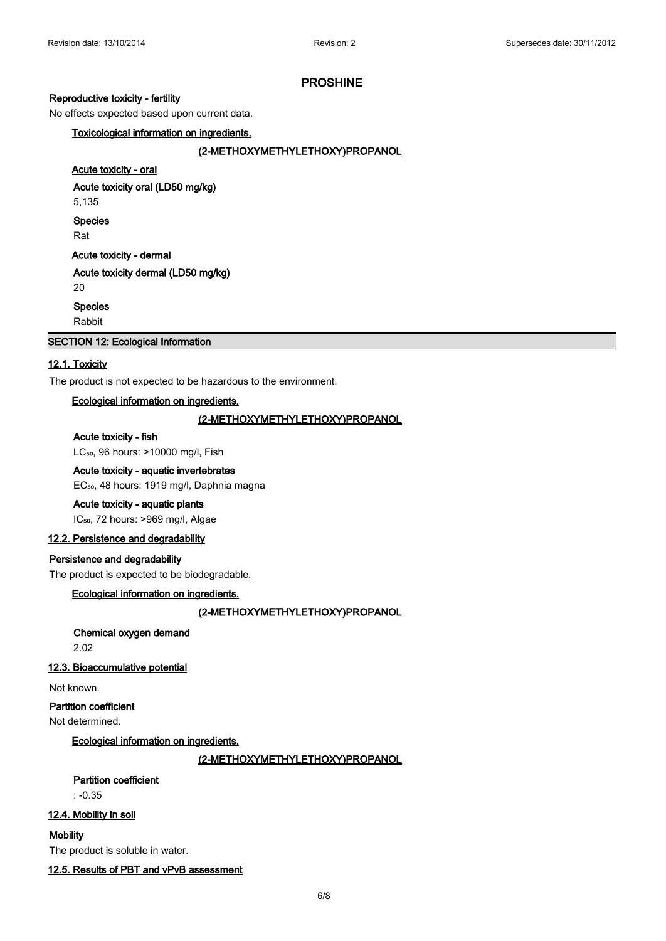#### **Reproductive toxicity - fertility**

No effects expected based upon current data.

**Toxicological information on ingredients.**

**(2-METHOXYMETHYLETHOXY)PROPANOL**

# **Acute toxicity - oral**

**Acute toxicity oral (LD50 mg/kg)**

5,135

**Species**

Rat

# **Acute toxicity - dermal**

**Acute toxicity dermal (LD50 mg/kg)**

# 20

**Species**

Rabbit

# **SECTION 12: Ecological Information**

## **12.1. Toxicity**

The product is not expected to be hazardous to the environment.

# **Ecological information on ingredients.**

# **(2-METHOXYMETHYLETHOXY)PROPANOL**

#### **Acute toxicity - fish**

LC<sub>50</sub>, 96 hours: >10000 mg/l, Fish

# **Acute toxicity - aquatic invertebrates**

EC<sub>50</sub>, 48 hours: 1919 mg/l, Daphnia magna

# **Acute toxicity - aquatic plants**

IC<sub>50</sub>, 72 hours: >969 mg/l, Algae

# **12.2. Persistence and degradability**

# **Persistence and degradability**

The product is expected to be biodegradable.

#### **Ecological information on ingredients.**

**(2-METHOXYMETHYLETHOXY)PROPANOL**

# **Chemical oxygen demand**

2.02

#### **12.3. Bioaccumulative potential**

Not known.

# **Partition coefficient**

Not determined.

**Ecological information on ingredients.**

**(2-METHOXYMETHYLETHOXY)PROPANOL**

# **Partition coefficient**

 $\cdot$  -0.35

# **12.4. Mobility in soil**

**Mobility**

The product is soluble in water.

**12.5. Results of PBT and vPvB assessment**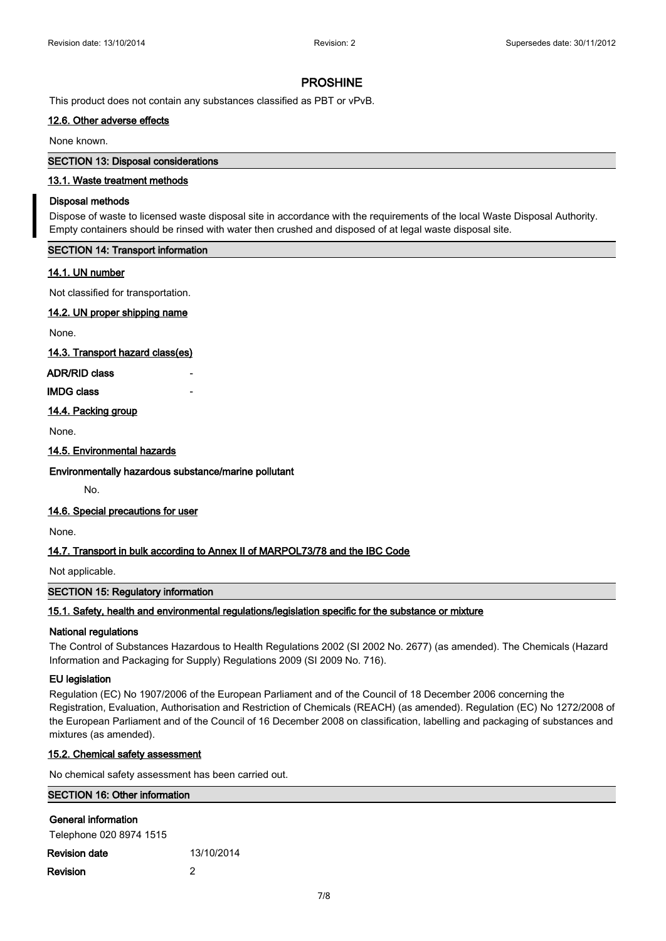This product does not contain any substances classified as PBT or vPvB.

# **12.6. Other adverse effects**

None known.

# **SECTION 13: Disposal considerations**

# **13.1. Waste treatment methods**

#### **Disposal methods**

Dispose of waste to licensed waste disposal site in accordance with the requirements of the local Waste Disposal Authority. Empty containers should be rinsed with water then crushed and disposed of at legal waste disposal site.

### **SECTION 14: Transport information**

### **14.1. UN number**

Not classified for transportation.

### **14.2. UN proper shipping name**

None.

**14.3. Transport hazard class(es)**

#### **ADR/RID class** -

# **IMDG class**

**14.4. Packing group**

None.

### **14.5. Environmental hazards**

# **Environmentally hazardous substance/marine pollutant**

No.

#### **14.6. Special precautions for user**

None.

# **14.7. Transport in bulk according to Annex II of MARPOL73/78 and the IBC Code**

Not applicable.

# **SECTION 15: Regulatory information**

# **15.1. Safety, health and environmental regulations/legislation specific for the substance or mixture**

#### **National regulations**

The Control of Substances Hazardous to Health Regulations 2002 (SI 2002 No. 2677) (as amended). The Chemicals (Hazard Information and Packaging for Supply) Regulations 2009 (SI 2009 No. 716).

#### **EU legislation**

Regulation (EC) No 1907/2006 of the European Parliament and of the Council of 18 December 2006 concerning the Registration, Evaluation, Authorisation and Restriction of Chemicals (REACH) (as amended). Regulation (EC) No 1272/2008 of the European Parliament and of the Council of 16 December 2008 on classification, labelling and packaging of substances and mixtures (as amended).

# **15.2. Chemical safety assessment**

No chemical safety assessment has been carried out.

| <b>SECTION 16: Other information</b>           |            |  |  |  |
|------------------------------------------------|------------|--|--|--|
| General information<br>Telephone 020 8974 1515 |            |  |  |  |
| <b>Revision date</b>                           | 13/10/2014 |  |  |  |
| <b>Revision</b>                                | 2          |  |  |  |